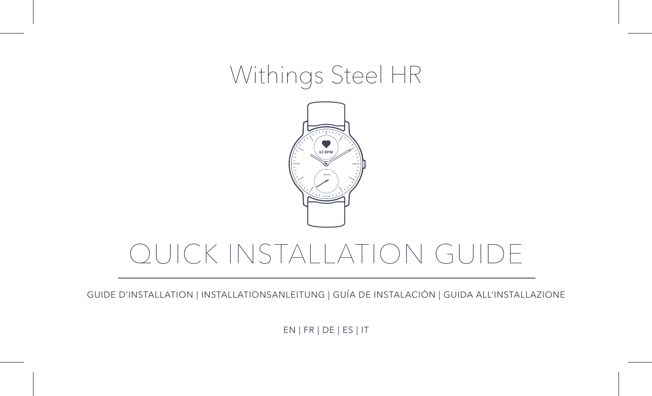## Withings Steel HR



# QUICK INSTALLATION GUIDE

GUIDE D'INSTALLATION | INSTALLATIONSANLEITUNG | GUÍA DE INSTALACIÓN | GUIDA ALL'INSTALLAZIONE

EN | FR | DE | ES | IT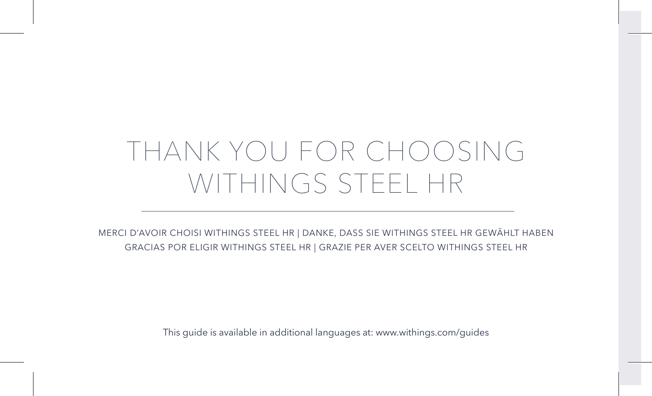# THANK YOU FOR CHOOSING WITHINGS STEEL HR

MERCI D'AVOIR CHOISI WITHINGS STEEL HR | DANKE, DASS SIE WITHINGS STEEL HR GEWÄHLT HABEN GRACIAS POR ELIGIR WITHINGS STEEL HR | GRAZIE PER AVER SCELTO WITHINGS STEEL HR

This guide is available in additional languages at: www.withings.com/guides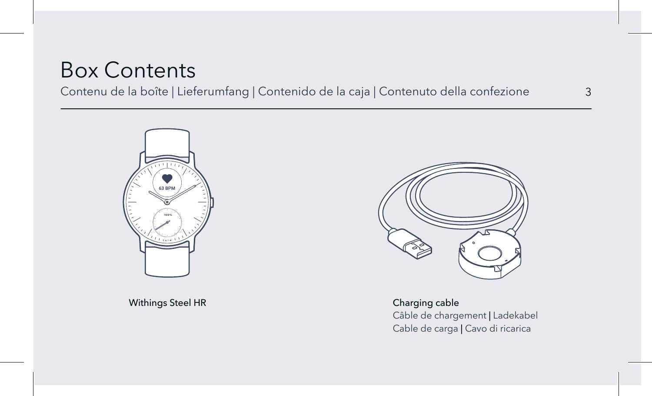## Box Contents

### Contenu de la boîte | Lieferumfang | Contenido de la caja | Contenuto della confezione 3



Withings Steel HR Charging cable



Câble de chargement | Ladekabel Cable de carga | Cavo di ricarica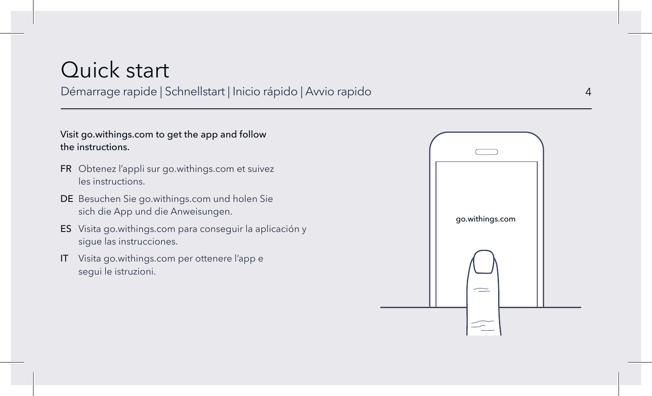## Quick start

Démarrage rapide | Schnellstart | Inicio rápido | Avvio rapido 4

### Visit go.withings.com to get the app and follow the instructions.

- FR Obtenez l'appli sur go.withings.com et suivez les instructions.
- DE Besuchen Sie go.withings.com und holen Sie sich die App und die Anweisungen.
- ES Visita go.withings.com para conseguir la aplicación y sigue las instrucciones.
- IT Visita go.withings.com per ottenere l'app e segui le istruzioni.

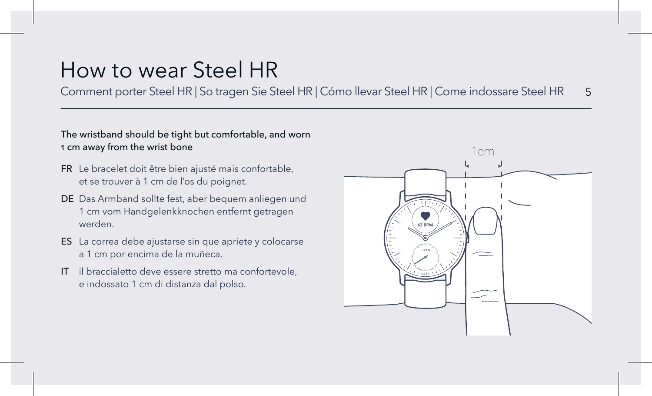## How to wear Steel HR

Comment porter Steel HR | So tragen Sie Steel HR | Cómo llevar Steel HR | Come indossare Steel HR 5

### The wristband should be tight but comfortable, and worn 1 cm away from the wrist bone

- FR Le bracelet doit être bien ajusté mais confortable, et se trouver à 1 cm de l'os du poignet.
- DE Das Armband sollte fest, aber bequem anliegen und 1 cm vom Handgelenkknochen entfernt getragen werden.
- ES La correa debe ajustarse sin que apriete y colocarse a 1 cm por encima de la muñeca.
- IT il braccialetto deve essere stretto ma confortevole, e indossato 1 cm di distanza dal polso.

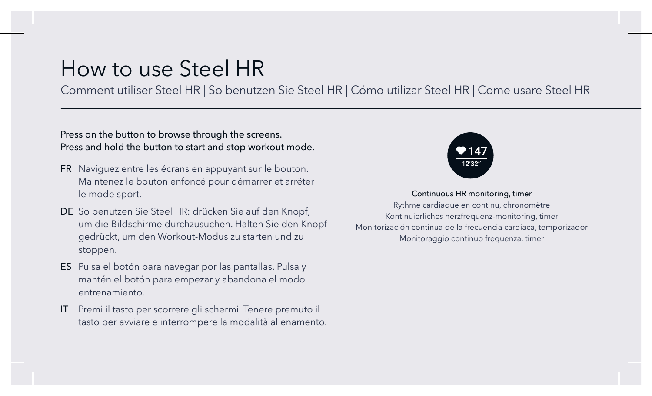## How to use Steel HR

Comment utiliser Steel HR | So benutzen Sie Steel HR | Cómo utilizar Steel HR | Come usare Steel HR

### Press on the button to browse through the screens. Press and hold the button to start and stop workout mode.

- FR Naviguez entre les écrans en appuyant sur le bouton. Maintenez le bouton enfoncé pour démarrer et arrêter le mode sport.
- DE So benutzen Sie Steel HR: drücken Sie auf den Knopf, um die Bildschirme durchzusuchen. Halten Sie den Knopf gedrückt, um den Workout-Modus zu starten und zu stoppen.
- ES Pulsa el botón para navegar por las pantallas. Pulsa y mantén el botón para empezar y abandona el modo entrenamiento.
- IT Premi il tasto per scorrere gli schermi. Tenere premuto il tasto per avviare e interrompere la modalità allenamento.



Continuous HR monitoring, timer

Rythme cardiaque en continu, chronomètre Kontinuierliches herzfrequenz-monitoring, timer Monitorización continua de la frecuencia cardiaca, temporizador Monitoraggio continuo frequenza, timer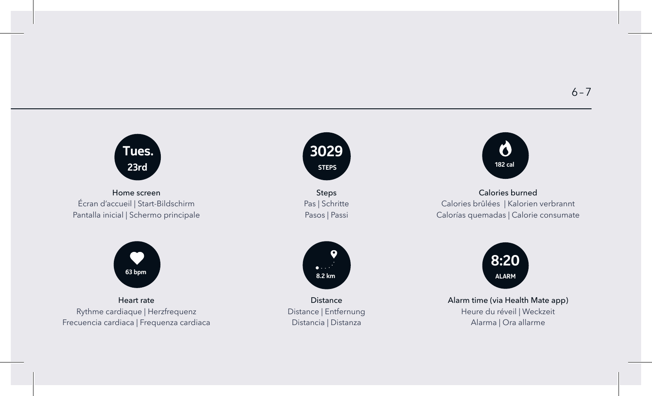

Home screen Écran d'accueil | Start-Bildschirm Pantalla inicial | Schermo principale



Steps Pas | Schritte Pasos | Passi



Calories burned Calories brûlées | Kalorien verbrannt Calorías quemadas | Calorie consumate



Heart rate Rythme cardiaque | Herzfrequenz Frecuencia cardiaca | Frequenza cardiaca



Distance Distance | Entfernung Distancia | Distanza



Alarm time (via Health Mate app) Heure du réveil | Weckzeit Alarma | Ora allarme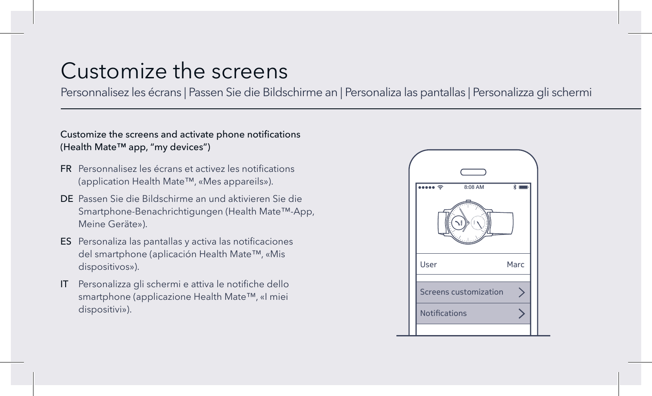## Customize the screens

Personnalisez les écrans | Passen Sie die Bildschirme an | Personaliza las pantallas | Personalizza gli schermi

### Customize the screens and activate phone notifications (Health Mate™ app, "my devices")

- FR Personnalisez les écrans et activez les notifications (application Health Mate™, «Mes appareils»).
- DE Passen Sie die Bildschirme an und aktivieren Sie die Smartphone-Benachrichtigungen (Health Mate™-App, Meine Geräte»).
- ES Personaliza las pantallas y activa las notificaciones del smartphone (aplicación Health Mate™, «Mis dispositivos»).
- IT Personalizza gli schermi e attiva le notifiche dello smartphone (applicazione Health Mate™, «I miei dispositivi»).

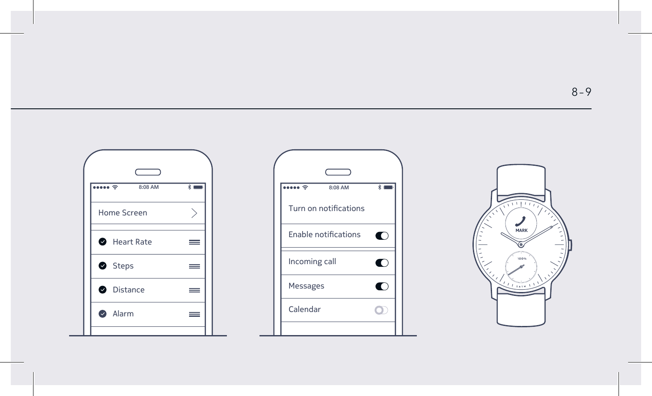8 – 9





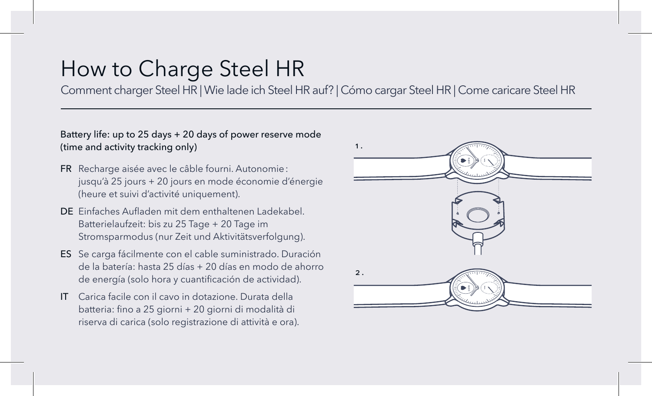## How to Charge Steel HR

Comment charger Steel HR | Wie lade ich Steel HR auf? | Cómo cargar Steel HR | Come caricare Steel HR

### Battery life: up to 25 days + 20 days of power reserve mode (time and activity tracking only)

- FR Recharge aisée avec le câble fourni. Autonomie: jusqu'à 25 jours + 20 jours en mode économie d'énergie (heure et suivi d'activité uniquement).
- DE Einfaches Aufladen mit dem enthaltenen Ladekabel. Batterielaufzeit: bis zu 25 Tage + 20 Tage im Stromsparmodus (nur Zeit und Aktivitätsverfolgung).
- ES Se carga fácilmente con el cable suministrado. Duración de la batería: hasta 25 días + 20 días en modo de ahorro de energía (solo hora y cuantificación de actividad).
- IT Carica facile con il cavo in dotazione. Durata della batteria: fino a 25 giorni + 20 giorni di modalità di riserva di carica (solo registrazione di attività e ora).

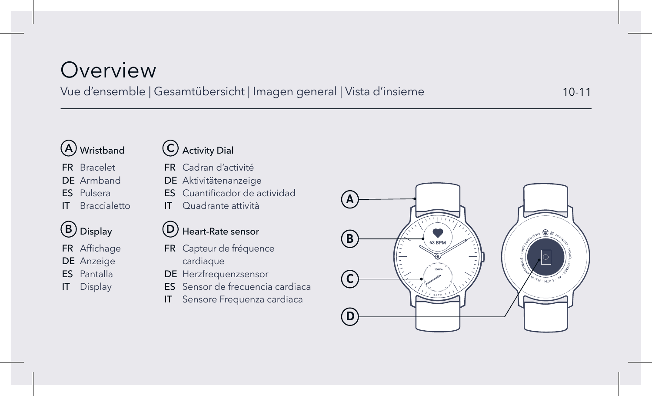## **Overview**

### Comment charger Steel HR | Wie lade ich Steel HR auf? | Cómo cargar Steel HR | Come caricare Steel HR 10-11 Vue d'ensemble | Gesamtübersicht | Imagen general | Vista d'insieme

### **A** Wristband

- FR Bracelet DE Armband
- ES Pulsera
- IT Braccialetto



- FR Affichage
- DE Anzeige
- ES Pantalla
- IT Display

### Activity Dial **C**

- FR Cadran d'activité
- DE Aktivitätenanzeige
- ES Cuantificador de actividad
- IT Quadrante attività

### Heart-Rate sensor **D**

- FR Capteur de fréquence cardiaque
- DE Herzfrequenzsensor
- ES Sensor de frecuencia cardiaca
- IT Sensore Frequenza cardiaca

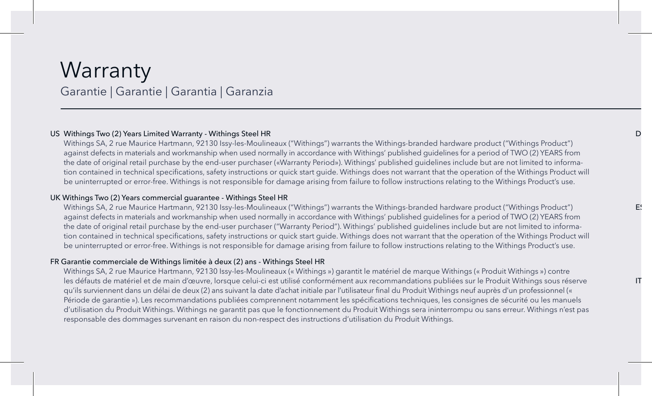### **Warranty** Garantie | Garantie | Garantia | Garanzia

#### US Withings Two (2) Years Limited Warranty - Withings Steel HR

Withings SA, 2 rue Maurice Hartmann, 92130 Issy-les-Moulineaux ("Withings") warrants the Withings-branded hardware product ("Withings Product") against defects in materials and workmanship when used normally in accordance with Withings' published guidelines for a period of TWO (2) YEARS from the date of original retail purchase by the end-user purchaser («Warranty Period»). Withings' published guidelines include but are not limited to information contained in technical specifications, safety instructions or quick start guide. Withings does not warrant that the operation of the Withings Product will be uninterrupted or error-free. Withings is not responsible for damage arising from failure to follow instructions relating to the Withings Product's use.

#### UK Withings Two (2) Years commercial guarantee - Withings Steel HR

Withings SA, 2 rue Maurice Hartmann, 92130 Issy-les-Moulineaux ("Withings") warrants the Withings-branded hardware product ("Withings Product") against defects in materials and workmanship when used normally in accordance with Withings' published guidelines for a period of TWO (2) YEARS from the date of original retail purchase by the end-user purchaser ("Warranty Period"). Withings' published guidelines include but are not limited to information contained in technical specifications, safety instructions or quick start guide. Withings does not warrant that the operation of the Withings Product will be uninterrupted or error-free. Withings is not responsible for damage arising from failure to follow instructions relating to the Withings Product's use.

#### FR Garantie commerciale de Withings limitée à deux (2) ans - Withings Steel HR

Withings SA, 2 rue Maurice Hartmann, 92130 Issy-les-Moulineaux (« Withings ») garantit le matériel de marque Withings (« Produit Withings ») contre les défauts de matériel et de main d'œuvre, lorsque celui-ci est utilisé conformément aux recommandations publiées sur le Produit Withings sous réserve qu'ils surviennent dans un délai de deux (2) ans suivant la date d'achat initiale par l'utilisateur final du Produit Withings neuf auprès d'un professionnel (« Période de garantie »). Les recommandations publiées comprennent notamment les spécifications techniques, les consignes de sécurité ou les manuels d'utilisation du Produit Withings. Withings ne garantit pas que le fonctionnement du Produit Withings sera ininterrompu ou sans erreur. Withings n'est pas responsable des dommages survenant en raison du non-respect des instructions d'utilisation du Produit Withings.

ES Ga

IT  $\blacksquare$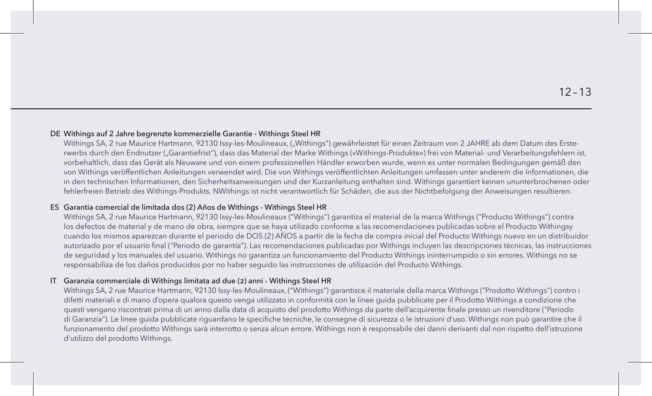#### DE Withings auf 2 Jahre begrenzte kommerzielle Garantie - Withings Steel HR

Withings SA, 2 rue Maurice Hartmann, 92130 Issy-les-Moulineaux, ("Withings") gewährleistet für einen Zeitraum von 2 JAHRE ab dem Datum des Ersterwerbs durch den Endnutzer ("Garantiefrist"), dass das Material der Marke Withings («Withings-Produkte») frei von Material- und Verarbeitungsfehlern ist, vorbehaltlich, dass das Gerät als Neuware und von einem professionellen Händler erworben wurde, wenn es unter normalen Bedingungen gemäß den von Withings veröffentlichen Anleitungen verwendet wird. Die von Withings veröffentlichten Anleitungen umfassen unter anderem die Informationen, die in den technischen Informationen, den Sicherheitsanweisungen und der Kurzanleitung enthalten sind. Withings garantiert keinen ununterbrochenen oder fehlerfreien Betrieb des Withings-Produkts. NWithings ist nicht verantwortlich für Schäden, die aus der Nichtbefolgung der Anweisungen resultieren.

#### ES Garantia comercial de limitada dos (2) Años de Withings - Withings Steel HR

Withings SA, 2 rue Maurice Hartmann, 92130 Issy-les-Moulineaux ("Withings") garantiza el material de la marca Withings ("Producto Withings") contra los defectos de material y de mano de obra, siempre que se haya utilizado conforme a las recomendaciones publicadas sobre el Producto Withingsy cuando los mismos aparezcan durante el periodo de DOS (2) AÑOS a partir de la fecha de compra inicial del Producto Withings nuevo en un distribuidor autorizado por el usuario final ("Periodo de garantía"). Las recomendaciones publicadas por Withings incluyen las descripciones técnicas, las instrucciones de seguridad y los manuales del usuario. Withings no garantiza un funcionamiento del Producto Withings ininterrumpido o sin errores. Withings no se responsabiliza de los daños producidos por no haber seguido las instrucciones de utilización del Producto Withings.

#### IT Garanzia commerciale di Withings limitata ad due (2) anni - Withings Steel HR

Withings SA, 2 rue Maurice Hartmann, 92130 Issy-les-Moulineaux, ("Withings") garantisce il materiale della marca Withings ("Prodotto Withings") contro i difetti materiali e di mano d'opera qualora questo venga utilizzato in conformità con le linee guida pubblicate per il Prodotto Withings a condizione che questi vengano riscontrati prima di un anno dalla data di acquisto del prodotto Withings da parte dell'acquirente finale presso un rivenditore ("Periodo di Garanzia"). Le linee guida pubblicate riguardano le specifiche tecniche, le consegne di sicurezza o le istruzioni d'uso. Withings non può garantire che il funzionamento del prodotto Withings sarà interrotto o senza alcun errore. Withings non è responsabile dei danni derivanti dal non rispetto dell'istruzione d'utilizzo del prodotto Withings.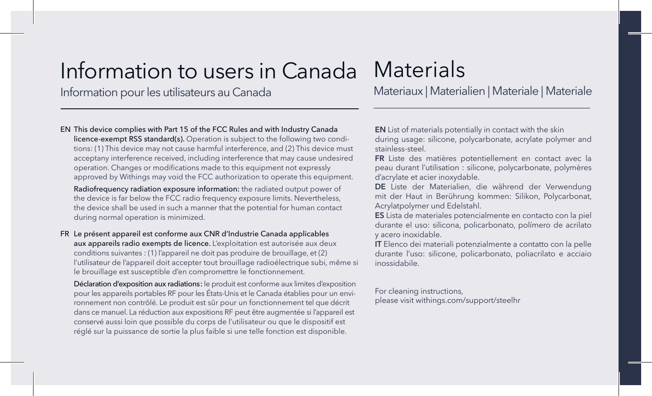## Information to users in Canada

Information pour les utilisateurs au Canada

EN This device complies with Part 15 of the FCC Rules and with Industry Canada licence-exempt RSS standard(s). Operation is subject to the following two conditions: (1) This device may not cause harmful interference, and (2) This device must acceptany interference received, including interference that may cause undesired operation. Changes or modifications made to this equipment not expressly approved by Withings may void the FCC authorization to operate this equipment.

Radiofrequency radiation exposure information: the radiated output power of the device is far below the FCC radio frequency exposure limits. Nevertheless, the device shall be used in such a manner that the potential for human contact during normal operation is minimized.

FR Le présent appareil est conforme aux CNR d'Industrie Canada applicables aux appareils radio exempts de licence. L'exploitation est autorisée aux deux conditions suivantes : (1) l'appareil ne doit pas produire de brouillage, et (2) l'utilisateur de l'appareil doit accepter tout brouillage radioélectrique subi, même si le brouillage est susceptible d'en compromettre le fonctionnement.

Déclaration d'exposition aux radiations: le produit est conforme aux limites d'exposition pour les appareils portables RF pour les États-Unis et le Canada établies pour un environnement non contrôlé. Le produit est sûr pour un fonctionnement tel que décrit dans ce manuel. La réduction aux expositions RF peut être augmentée si l'appareil est conservé aussi loin que possible du corps de l'utilisateur ou que le dispositif est réglé sur la puissance de sortie la plus faible si une telle fonction est disponible.

## Materials

Materiaux | Materialien | Materiale | Materiale

**EN** List of materials potentially in contact with the skin during usage: silicone, polycarbonate, acrylate polymer and stainless-steel.

**FR** Liste des matières potentiellement en contact avec la peau durant l'utilisation : silicone, polycarbonate, polymères d'acrylate et acier inoxydable.

**DE** Liste der Materialien, die während der Verwendung mit der Haut in Berührung kommen: Silikon, Polycarbonat, Acrylatpolymer und Edelstahl.

**ES** Lista de materiales potencialmente en contacto con la piel durante el uso: silicona, policarbonato, polímero de acrilato y acero inoxidable.

**IT** Elenco dei materiali potenzialmente a contatto con la pelle durante l'uso: silicone, policarbonato, poliacrilato e acciaio inossidabile.

For cleaning instructions, please visit withings.com/support/steelhr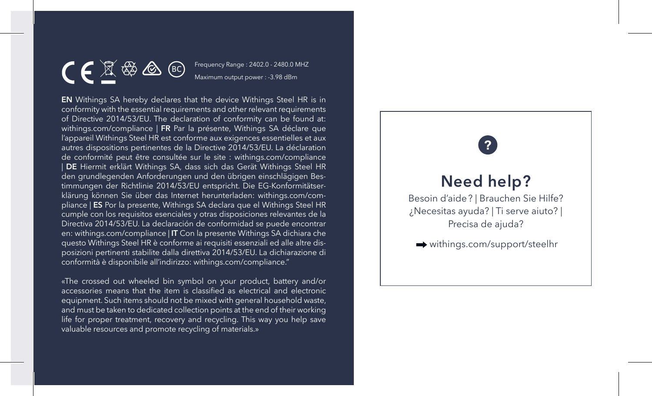# **E**  $\overline{\mathcal{L}}$   $\mathfrak{B}$   $\mathfrak{B}$   $\mathfrak{B}$   $\mathfrak{B}$   $\mathfrak{B}$   $\mathfrak{B}$   $\mathfrak{m}$   $\mathfrak{m}$  ange : 2402.0 - 2480.0 MHZ

**EN** Withings SA hereby declares that the device Withings Steel HR is in conformity with the essential requirements and other relevant requirements of Directive 2014/53/EU. The declaration of conformity can be found at: withings.com/compliance | **FR** Par la présente, Withings SA déclare que l'appareil Withings Steel HR est conforme aux exigences essentielles et aux autres dispositions pertinentes de la Directive 2014/53/EU. La déclaration de conformité peut être consultée sur le site : withings.com/compliance | **DE** Hiermit erklärt Withings SA, dass sich das Gerät Withings Steel HR den grundlegenden Anforderungen und den übrigen einschlägigen Bestimmungen der Richtlinie 2014/53/EU entspricht. Die EG-Konformitätserklärung können Sie über das Internet herunterladen: withings.com/compliance | **ES** Por la presente, Withings SA declara que el Withings Steel HR cumple con los requisitos esenciales y otras disposiciones relevantes de la Directiva 2014/53/EU. La declaración de conformidad se puede encontrar en: withings.com/compliance | **IT** Con la presente Withings SA dichiara che questo Withings Steel HR è conforme ai requisiti essenziali ed alle altre disposizioni pertinenti stabilite dalla direttiva 2014/53/EU. La dichiarazione di conformità è disponibile all'indirizzo: withings.com/compliance."

«The crossed out wheeled bin symbol on your product, battery and/or accessories means that the item is classified as electrical and electronic equipment. Such items should not be mixed with general household waste. and must be taken to dedicated collection points at the end of their working life for proper treatment, recovery and recycling. This way you help save valuable resources and promote recycling of materials.»

# **Need help?** Besoin d'aide? | Brauchen Sie Hilfe? ¿Necesitas ayuda? | Ti serve aiuto? | Precisa de ajuda?  $\rightarrow$  withings.com/support/steelhr